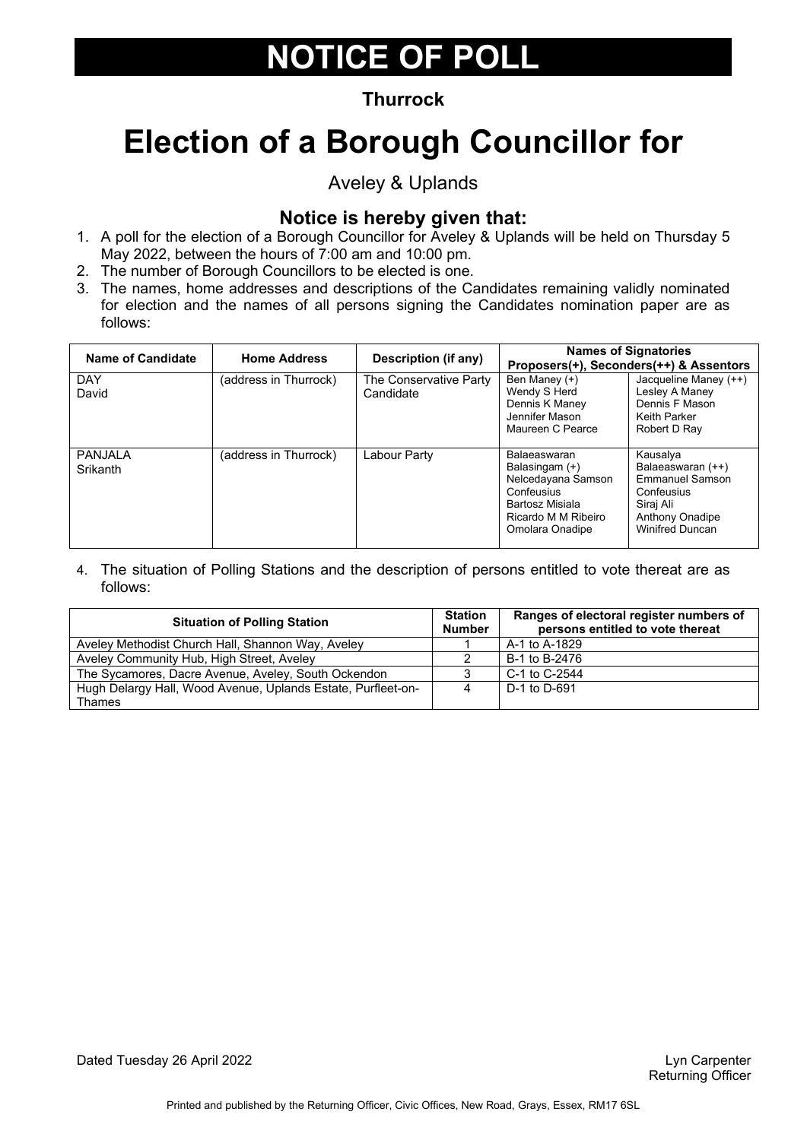### **Thurrock**

# **Election of a Borough Councillor for**

Aveley & Uplands

### **Notice is hereby given that:**

- 1. A poll for the election of a Borough Councillor for Aveley & Uplands will be held on Thursday 5 May 2022, between the hours of 7:00 am and 10:00 pm.
- 2. The number of Borough Councillors to be elected is one.
- 3. The names, home addresses and descriptions of the Candidates remaining validly nominated for election and the names of all persons signing the Candidates nomination paper are as follows:

| Name of Candidate   | <b>Home Address</b>   | <b>Description (if any)</b>         |                                                                                                                                 | <b>Names of Signatories</b><br>Proposers(+), Seconders(++) & Assentors                                                          |
|---------------------|-----------------------|-------------------------------------|---------------------------------------------------------------------------------------------------------------------------------|---------------------------------------------------------------------------------------------------------------------------------|
| <b>DAY</b><br>David | (address in Thurrock) | The Conservative Party<br>Candidate | Ben Maney (+)<br>Wendy S Herd<br>Dennis K Maney<br>Jennifer Mason<br>Maureen C Pearce                                           | Jacqueline Maney (++)<br>Lesley A Maney<br>Dennis F Mason<br>Keith Parker<br>Robert D Ray                                       |
| PANJALA<br>Srikanth | (address in Thurrock) | Labour Party                        | Balaeaswaran<br>Balasingam (+)<br>Nelcedayana Samson<br>Confeusius<br>Bartosz Misiala<br>Ricardo M M Ribeiro<br>Omolara Onadipe | Kausalya<br>Balaeaswaran (++)<br><b>Emmanuel Samson</b><br>Confeusius<br>Siraj Ali<br>Anthony Onadipe<br><b>Winifred Duncan</b> |

| <b>Situation of Polling Station</b>                          |  | Ranges of electoral register numbers of<br>persons entitled to vote thereat |
|--------------------------------------------------------------|--|-----------------------------------------------------------------------------|
| Aveley Methodist Church Hall, Shannon Way, Aveley            |  | A-1 to A-1829                                                               |
| Aveley Community Hub, High Street, Aveley                    |  | B-1 to B-2476                                                               |
| The Sycamores, Dacre Avenue, Aveley, South Ockendon          |  | C-1 to C-2544                                                               |
| Hugh Delargy Hall, Wood Avenue, Uplands Estate, Purfleet-on- |  | D-1 to D-691                                                                |
| Thames                                                       |  |                                                                             |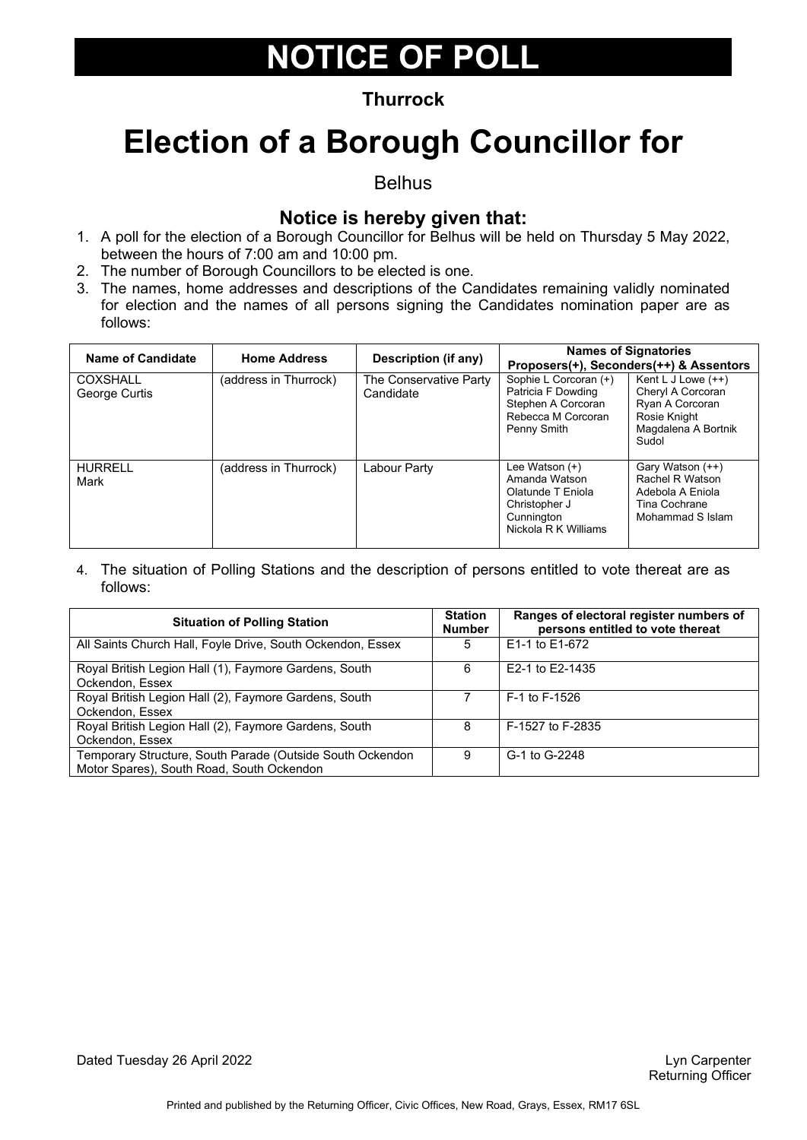### **Thurrock**

### **Election of a Borough Councillor for**

Belhus

### **Notice is hereby given that:**

- 1. A poll for the election of a Borough Councillor for Belhus will be held on Thursday 5 May 2022, between the hours of 7:00 am and 10:00 pm.
- 2. The number of Borough Councillors to be elected is one.
- 3. The names, home addresses and descriptions of the Candidates remaining validly nominated for election and the names of all persons signing the Candidates nomination paper are as follows:

| Name of Candidate         | <b>Home Address</b>   | Description (if any)                |                                                                                                             | <b>Names of Signatories</b><br>Proposers(+), Seconders(++) & Assentors                                       |
|---------------------------|-----------------------|-------------------------------------|-------------------------------------------------------------------------------------------------------------|--------------------------------------------------------------------------------------------------------------|
| COXSHALL<br>George Curtis | (address in Thurrock) | The Conservative Party<br>Candidate | Sophie L Corcoran (+)<br>Patricia F Dowding<br>Stephen A Corcoran<br>Rebecca M Corcoran<br>Penny Smith      | Kent L J Lowe $(++)$<br>Cheryl A Corcoran<br>Ryan A Corcoran<br>Rosie Knight<br>Magdalena A Bortnik<br>Sudol |
| <b>HURRELL</b><br>Mark    | (address in Thurrock) | Labour Party                        | Lee Watson (+)<br>Amanda Watson<br>Olatunde T Eniola<br>Christopher J<br>Cunnington<br>Nickola R K Williams | Gary Watson (++)<br>Rachel R Watson<br>Adebola A Eniola<br>Tina Cochrane<br>Mohammad S Islam                 |

4. The situation of Polling Stations and the description of persons entitled to vote thereat are as follows:

| <b>Situation of Polling Station</b>                                                                    | <b>Station</b><br><b>Number</b> | Ranges of electoral register numbers of<br>persons entitled to vote thereat |
|--------------------------------------------------------------------------------------------------------|---------------------------------|-----------------------------------------------------------------------------|
| All Saints Church Hall, Foyle Drive, South Ockendon, Essex                                             | 5                               | E1-1 to E1-672                                                              |
| Royal British Legion Hall (1), Faymore Gardens, South<br>Ockendon, Essex                               | 6                               | E2-1 to E2-1435                                                             |
| Royal British Legion Hall (2), Faymore Gardens, South<br>Ockendon, Essex                               |                                 | F-1 to F-1526                                                               |
| Royal British Legion Hall (2), Faymore Gardens, South<br>Ockendon, Essex                               | 8                               | F-1527 to F-2835                                                            |
| Temporary Structure, South Parade (Outside South Ockendon<br>Motor Spares), South Road, South Ockendon | 9                               | G-1 to G-2248                                                               |

Dated Tuesday 26 April 2022 **Lyn Carpenter** Construction of the Unit of the Unit of the Unit of the Unit of the Unit of the Unit of the Unit of the Unit of the Unit of the Unit of the Unit of the Unit of the Unit of the Un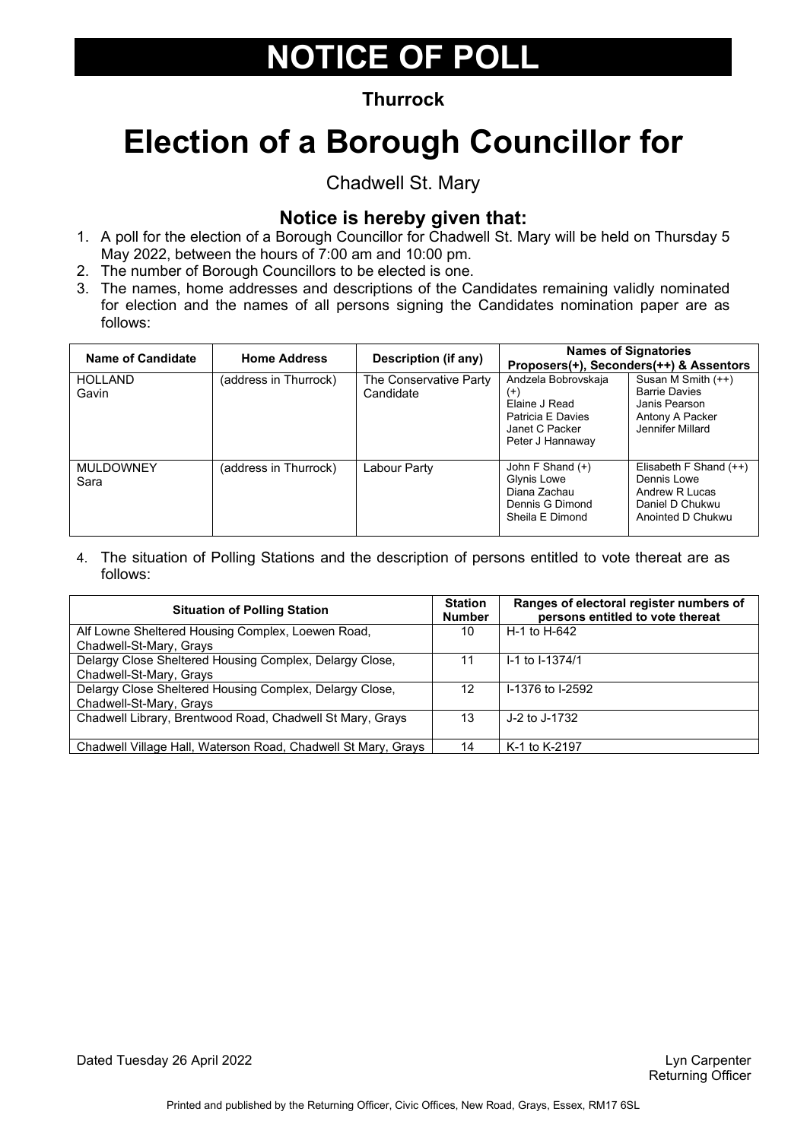### **Thurrock**

# **Election of a Borough Councillor for**

Chadwell St. Mary

### **Notice is hereby given that:**

- 1. A poll for the election of a Borough Councillor for Chadwell St. Mary will be held on Thursday 5 May 2022, between the hours of 7:00 am and 10:00 pm.
- 2. The number of Borough Councillors to be elected is one.
- 3. The names, home addresses and descriptions of the Candidates remaining validly nominated for election and the names of all persons signing the Candidates nomination paper are as follows:

| Name of Candidate        | <b>Home Address</b>   | Description (if any)                |                                                                                                             | <b>Names of Signatories</b><br>Proposers(+), Seconders(++) & Assentors                             |
|--------------------------|-----------------------|-------------------------------------|-------------------------------------------------------------------------------------------------------------|----------------------------------------------------------------------------------------------------|
| <b>HOLLAND</b><br>Gavin  | (address in Thurrock) | The Conservative Party<br>Candidate | Andzela Bobrovskaja<br>$^{(+)}$<br>Elaine J Read<br>Patricia E Davies<br>Janet C Packer<br>Peter J Hannaway | Susan M Smith (++)<br><b>Barrie Davies</b><br>Janis Pearson<br>Antony A Packer<br>Jennifer Millard |
| <b>MULDOWNEY</b><br>Sara | (address in Thurrock) | Labour Party                        | John F Shand $(+)$<br>Glynis Lowe<br>Diana Zachau<br>Dennis G Dimond<br>Sheila E Dimond                     | Elisabeth F Shand $(++)$<br>Dennis Lowe<br>Andrew R Lucas<br>Daniel D Chukwu<br>Anointed D Chukwu  |

4. The situation of Polling Stations and the description of persons entitled to vote thereat are as follows:

| <b>Situation of Polling Station</b>                           | <b>Station</b><br><b>Number</b> | Ranges of electoral register numbers of<br>persons entitled to vote thereat |
|---------------------------------------------------------------|---------------------------------|-----------------------------------------------------------------------------|
| Alf Lowne Sheltered Housing Complex, Loewen Road,             | 10                              | H-1 to H-642                                                                |
| Chadwell-St-Mary, Grays                                       |                                 |                                                                             |
| Delargy Close Sheltered Housing Complex, Delargy Close,       | 11                              | I-1 to I-1374/1                                                             |
| Chadwell-St-Mary, Grays                                       |                                 |                                                                             |
| Delargy Close Sheltered Housing Complex, Delargy Close,       | 12                              | I-1376 to I-2592                                                            |
| Chadwell-St-Mary, Grays                                       |                                 |                                                                             |
| Chadwell Library, Brentwood Road, Chadwell St Mary, Grays     | 13                              | J-2 to J-1732                                                               |
|                                                               |                                 |                                                                             |
| Chadwell Village Hall, Waterson Road, Chadwell St Mary, Grays | 14                              | K-1 to K-2197                                                               |

Dated Tuesday 26 April 2022 **Lyn Carpenter** Construction of the Unit of the Unit of the Unit of the Unit of the Unit of the Unit of the Unit of the Unit of the Unit of the Unit of the Unit of the Unit of the Unit of the Un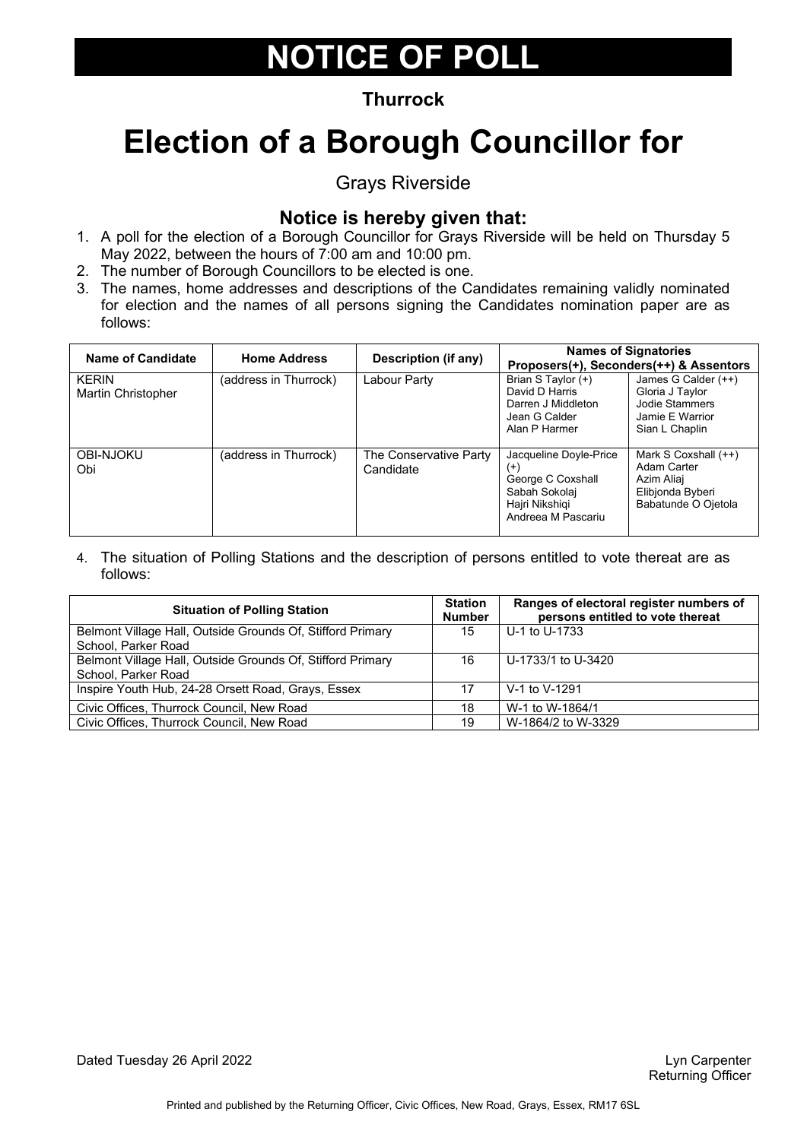### **Thurrock**

# **Election of a Borough Councillor for**

Grays Riverside

### **Notice is hereby given that:**

- 1. A poll for the election of a Borough Councillor for Grays Riverside will be held on Thursday 5 May 2022, between the hours of 7:00 am and 10:00 pm.
- 2. The number of Borough Councillors to be elected is one.
- 3. The names, home addresses and descriptions of the Candidates remaining validly nominated for election and the names of all persons signing the Candidates nomination paper are as follows:

| Name of Candidate                  | <b>Home Address</b>    | <b>Description (if any)</b>         |                                                                                                                  | <b>Names of Signatories</b><br>Proposers(+), Seconders(++) & Assentors                         |
|------------------------------------|------------------------|-------------------------------------|------------------------------------------------------------------------------------------------------------------|------------------------------------------------------------------------------------------------|
| <b>KERIN</b><br>Martin Christopher | (address in Thurrock). | Labour Party                        | Brian S Taylor (+)<br>David D Harris<br>Darren J Middleton<br>Jean G Calder<br>Alan P Harmer                     | James G Calder (++)<br>Gloria J Taylor<br>Jodie Stammers<br>Jamie E Warrior<br>Sian L Chaplin  |
| <b>OBI-NJOKU</b><br>Obi            | (address in Thurrock)  | The Conservative Party<br>Candidate | Jacqueline Doyle-Price<br>$^{(+)}$<br>George C Coxshall<br>Sabah Sokolaj<br>Hajri Nikshiqi<br>Andreea M Pascariu | Mark S Coxshall $(++)$<br>Adam Carter<br>Azim Aliaj<br>Elibjonda Byberi<br>Babatunde O Ojetola |

| <b>Situation of Polling Station</b>                        |    | Ranges of electoral register numbers of<br>persons entitled to vote thereat |
|------------------------------------------------------------|----|-----------------------------------------------------------------------------|
| Belmont Village Hall, Outside Grounds Of, Stifford Primary | 15 | U-1 to U-1733                                                               |
| School, Parker Road                                        |    |                                                                             |
| Belmont Village Hall, Outside Grounds Of, Stifford Primary | 16 | U-1733/1 to U-3420                                                          |
| School, Parker Road                                        |    |                                                                             |
| Inspire Youth Hub, 24-28 Orsett Road, Grays, Essex         |    | V-1 to V-1291                                                               |
| Civic Offices, Thurrock Council, New Road                  | 18 | W-1 to W-1864/1                                                             |
| Civic Offices, Thurrock Council, New Road                  | 19 | W-1864/2 to W-3329                                                          |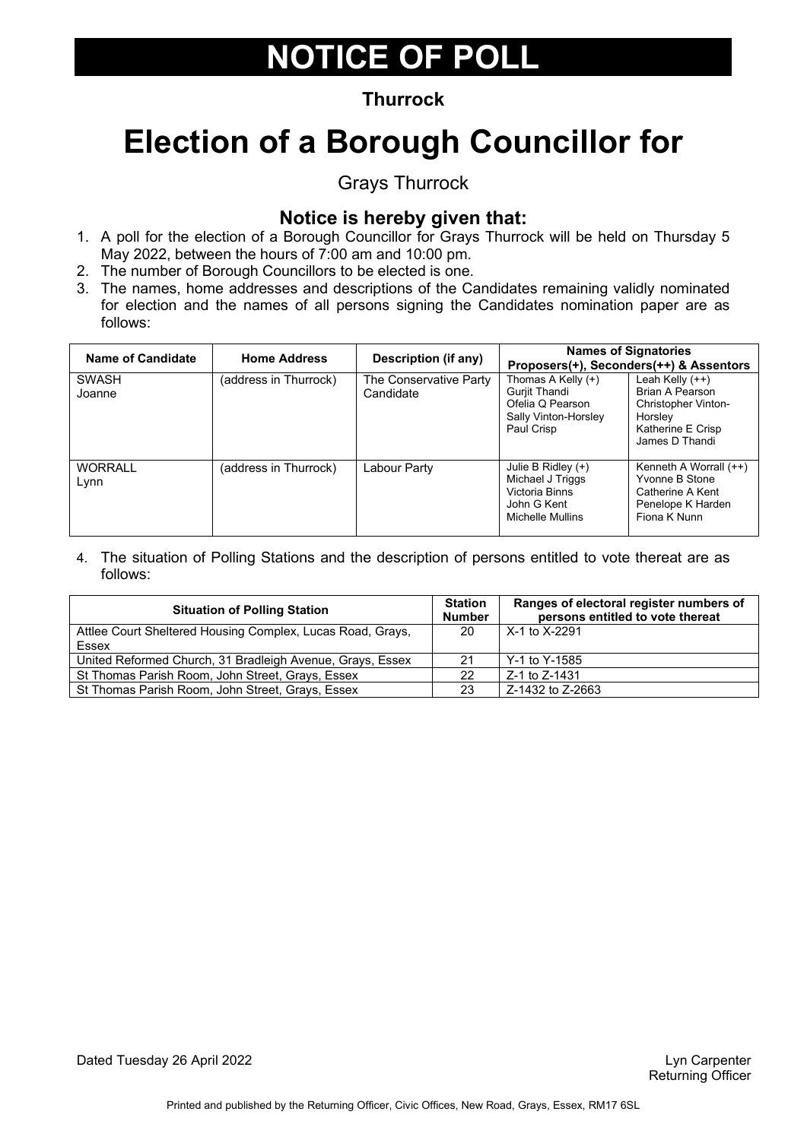### **Thurrock**

# **Election of a Borough Councillor for**

Grays Thurrock

### **Notice is hereby given that:**

- 1. A poll for the election of a Borough Councillor for Grays Thurrock will be held on Thursday 5 May 2022, between the hours of 7:00 am and 10:00 pm.
- 2. The number of Borough Councillors to be elected is one.
- 3. The names, home addresses and descriptions of the Candidates remaining validly nominated for election and the names of all persons signing the Candidates nomination paper are as follows:

| Name of Candidate      | <b>Home Address</b>   | Description (if any)                |                                                                                                      | <b>Names of Signatories</b><br>Proposers(+), Seconders(++) & Assentors                                        |
|------------------------|-----------------------|-------------------------------------|------------------------------------------------------------------------------------------------------|---------------------------------------------------------------------------------------------------------------|
| <b>SWASH</b><br>Joanne | (address in Thurrock) | The Conservative Party<br>Candidate | Thomas A Kelly (+)<br>Gurjit Thandi<br>Ofelia Q Pearson<br>Sally Vinton-Horsley<br>Paul Crisp        | Leah Kelly $(++)$<br>Brian A Pearson<br>Christopher Vinton-<br>Horslev<br>Katherine E Crisp<br>James D Thandi |
| <b>WORRALL</b><br>Lynn | (address in Thurrock) | Labour Party                        | Julie B Ridley $(+)$<br>Michael J Triggs<br>Victoria Binns<br>John G Kent<br><b>Michelle Mullins</b> | Kenneth A Worrall (++)<br>Yvonne B Stone<br>Catherine A Kent<br>Penelope K Harden<br>Fiona K Nunn             |

| <b>Situation of Polling Station</b>                        |    | Ranges of electoral register numbers of<br>persons entitled to vote thereat |
|------------------------------------------------------------|----|-----------------------------------------------------------------------------|
| Attlee Court Sheltered Housing Complex, Lucas Road, Grays, | 20 | X-1 to X-2291                                                               |
| Essex                                                      |    |                                                                             |
| United Reformed Church, 31 Bradleigh Avenue, Grays, Essex  | 21 | Y-1 to Y-1585                                                               |
| St Thomas Parish Room, John Street, Grays, Essex           | 22 | Z-1 to Z-1431                                                               |
| St Thomas Parish Room, John Street, Grays, Essex           | 23 | Z-1432 to Z-2663                                                            |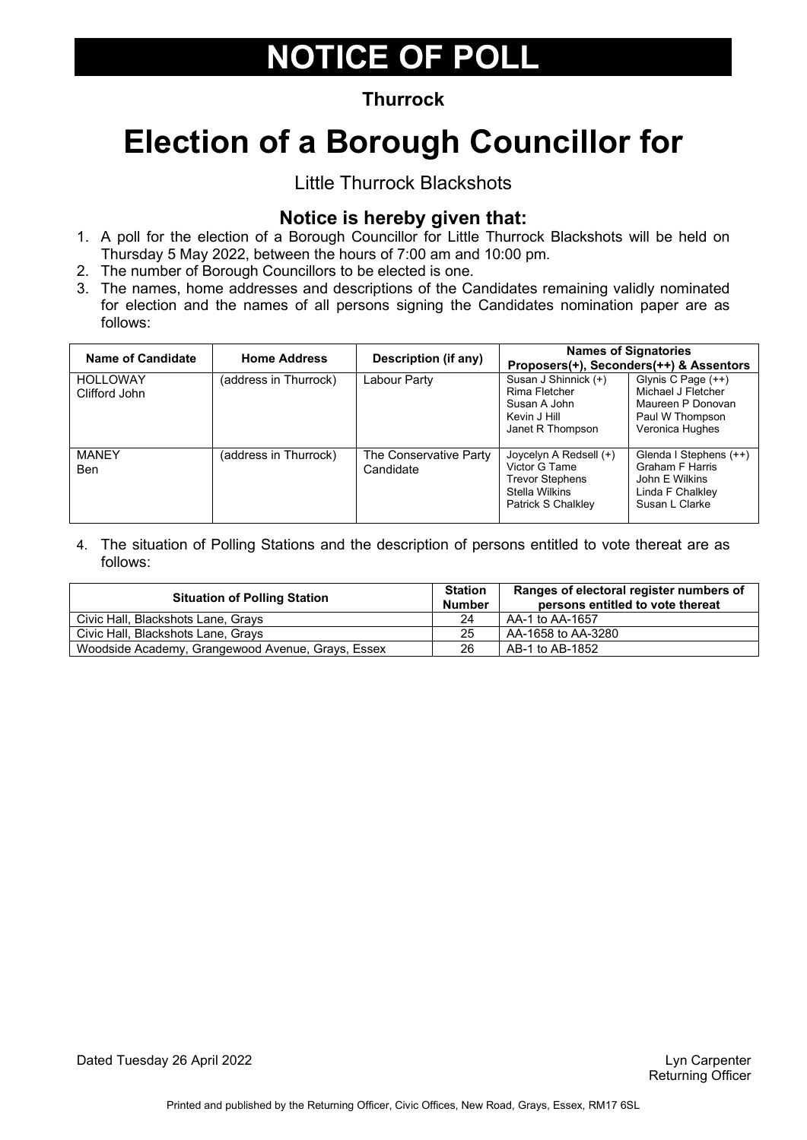### **Thurrock**

# **Election of a Borough Councillor for**

### Little Thurrock Blackshots

### **Notice is hereby given that:**

- 1. A poll for the election of a Borough Councillor for Little Thurrock Blackshots will be held on Thursday 5 May 2022, between the hours of 7:00 am and 10:00 pm.
- 2. The number of Borough Councillors to be elected is one.
- 3. The names, home addresses and descriptions of the Candidates remaining validly nominated for election and the names of all persons signing the Candidates nomination paper are as follows:

| Name of Candidate                | <b>Home Address</b>   | Description (if any)                |                                                                                                           | <b>Names of Signatories</b><br>Proposers(+), Seconders(++) & Assentors                                   |
|----------------------------------|-----------------------|-------------------------------------|-----------------------------------------------------------------------------------------------------------|----------------------------------------------------------------------------------------------------------|
| <b>HOLLOWAY</b><br>Clifford John | (address in Thurrock) | Labour Party                        | Susan J Shinnick (+)<br>Rima Fletcher<br>Susan A John<br>Kevin J Hill<br>Janet R Thompson                 | Glynis C Page (++)<br>Michael J Fletcher<br>Maureen P Donovan<br>Paul W Thompson<br>Veronica Hughes      |
| <b>MANEY</b><br>Ben              | (address in Thurrock) | The Conservative Party<br>Candidate | Joycelyn A Redsell (+)<br>Victor G Tame<br><b>Trevor Stephens</b><br>Stella Wilkins<br>Patrick S Chalkley | Glenda I Stephens (++)<br><b>Graham F Harris</b><br>John E Wilkins<br>Linda F Chalkley<br>Susan L Clarke |

| <b>Situation of Polling Station</b>               | <b>Station</b><br><b>Number</b> | Ranges of electoral register numbers of<br>persons entitled to vote thereat |
|---------------------------------------------------|---------------------------------|-----------------------------------------------------------------------------|
| Civic Hall, Blackshots Lane, Grays                | 24                              | AA-1 to AA-1657                                                             |
| Civic Hall, Blackshots Lane, Grays                | 25                              | AA-1658 to AA-3280                                                          |
| Woodside Academy, Grangewood Avenue, Grays, Essex | 26                              | AB-1 to AB-1852                                                             |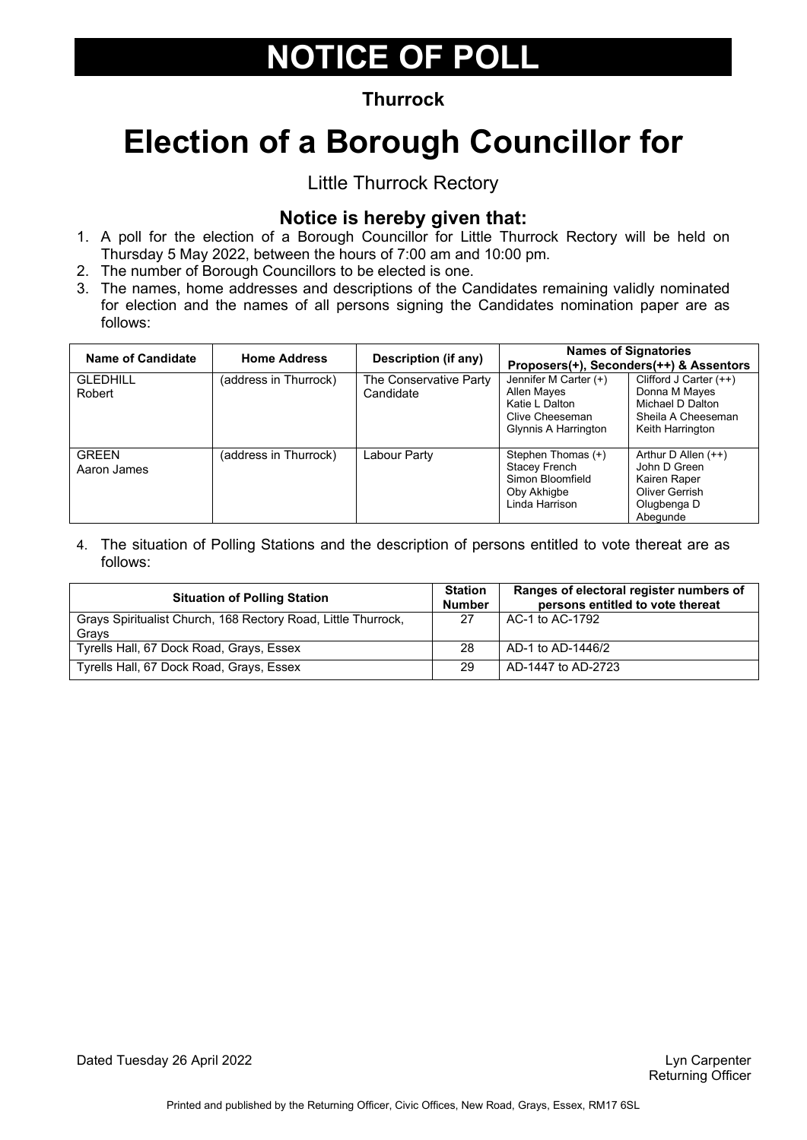### **Thurrock**

# **Election of a Borough Councillor for**

### Little Thurrock Rectory

### **Notice is hereby given that:**

- 1. A poll for the election of a Borough Councillor for Little Thurrock Rectory will be held on Thursday 5 May 2022, between the hours of 7:00 am and 10:00 pm.
- 2. The number of Borough Councillors to be elected is one.
- 3. The names, home addresses and descriptions of the Candidates remaining validly nominated for election and the names of all persons signing the Candidates nomination paper are as follows:

| Name of Candidate           | <b>Home Address</b>   | Description (if any)                |                                                                                                   | <b>Names of Signatories</b><br>Proposers(+), Seconders(++) & Assentors                                  |
|-----------------------------|-----------------------|-------------------------------------|---------------------------------------------------------------------------------------------------|---------------------------------------------------------------------------------------------------------|
| <b>GLEDHILL</b><br>Robert   | (address in Thurrock) | The Conservative Party<br>Candidate | Jennifer M Carter (+)<br>Allen Mayes<br>Katie L Dalton<br>Clive Cheeseman<br>Glynnis A Harrington | Clifford J Carter $(++)$<br>Donna M Mayes<br>Michael D Dalton<br>Sheila A Cheeseman<br>Keith Harrington |
| <b>GREEN</b><br>Aaron James | (address in Thurrock) | Labour Party                        | Stephen Thomas (+)<br>Stacey French<br>Simon Bloomfield<br>Oby Akhigbe<br>Linda Harrison          | Arthur D Allen $(++)$<br>John D Green<br>Kairen Raper<br>Oliver Gerrish<br>Olugbenga D<br>Abegunde      |

| <b>Situation of Polling Station</b>                                    | <b>Station</b><br><b>Number</b> | Ranges of electoral register numbers of<br>persons entitled to vote thereat |
|------------------------------------------------------------------------|---------------------------------|-----------------------------------------------------------------------------|
| Grays Spiritualist Church, 168 Rectory Road, Little Thurrock,<br>Grays | 27                              | AC-1 to AC-1792                                                             |
| Tyrells Hall, 67 Dock Road, Grays, Essex                               | 28                              | AD-1 to AD-1446/2                                                           |
| Tyrells Hall, 67 Dock Road, Grays, Essex                               | 29                              | AD-1447 to AD-2723                                                          |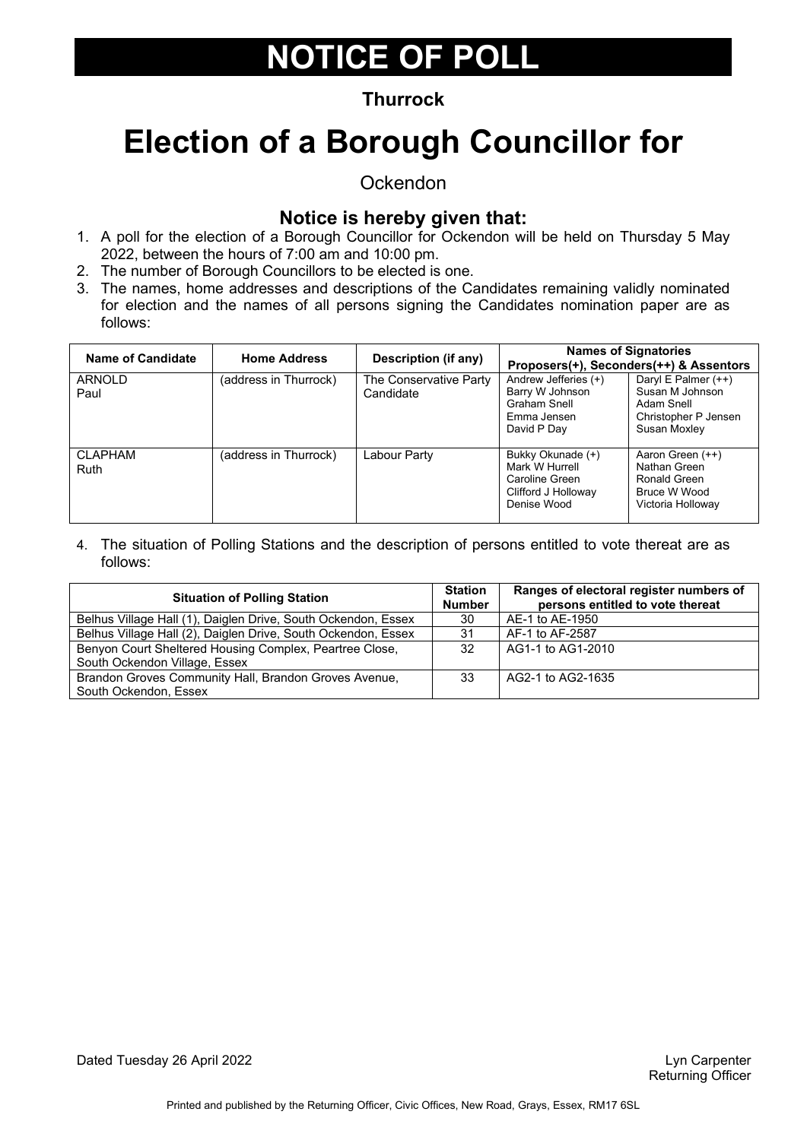### **Thurrock**

# **Election of a Borough Councillor for**

**Ockendon** 

### **Notice is hereby given that:**

- 1. A poll for the election of a Borough Councillor for Ockendon will be held on Thursday 5 May 2022, between the hours of 7:00 am and 10:00 pm.
- 2. The number of Borough Councillors to be elected is one.
- 3. The names, home addresses and descriptions of the Candidates remaining validly nominated for election and the names of all persons signing the Candidates nomination paper are as follows:

| Name of Candidate             | <b>Home Address</b>   | Description (if any)                | <b>Names of Signatories</b>                                                                 | Proposers(+), Seconders(++) & Assentors                                                        |
|-------------------------------|-----------------------|-------------------------------------|---------------------------------------------------------------------------------------------|------------------------------------------------------------------------------------------------|
| <b>ARNOLD</b><br>Paul         | (address in Thurrock) | The Conservative Party<br>Candidate | Andrew Jefferies (+)<br>Barry W Johnson<br>Graham Snell<br>Emma Jensen<br>David P Day       | Daryl E Palmer $(++)$<br>Susan M Johnson<br>Adam Snell<br>Christopher P Jensen<br>Susan Moxley |
| <b>CLAPHAM</b><br><b>Ruth</b> | (address in Thurrock) | Labour Party                        | Bukky Okunade (+)<br>Mark W Hurrell<br>Caroline Green<br>Clifford J Holloway<br>Denise Wood | Aaron Green (++)<br>Nathan Green<br>Ronald Green<br>Bruce W Wood<br>Victoria Holloway          |

| <b>Situation of Polling Station</b>                           |    | Ranges of electoral register numbers of<br>persons entitled to vote thereat |
|---------------------------------------------------------------|----|-----------------------------------------------------------------------------|
| Belhus Village Hall (1), Daiglen Drive, South Ockendon, Essex | 30 | AE-1 to AE-1950                                                             |
| Belhus Village Hall (2), Daiglen Drive, South Ockendon, Essex | 31 | AF-1 to AF-2587                                                             |
| Benyon Court Sheltered Housing Complex, Peartree Close,       | 32 | AG1-1 to AG1-2010                                                           |
| South Ockendon Village, Essex                                 |    |                                                                             |
| Brandon Groves Community Hall, Brandon Groves Avenue,         | 33 | AG2-1 to AG2-1635                                                           |
| South Ockendon, Essex                                         |    |                                                                             |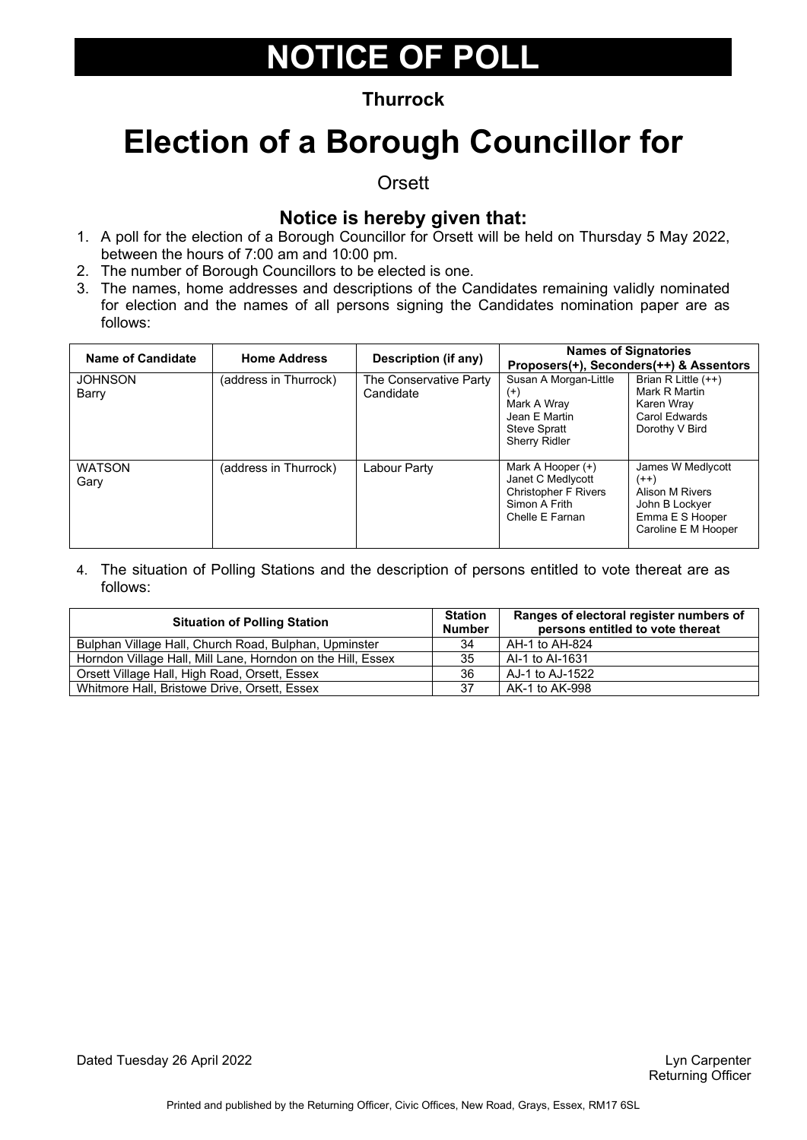### **Thurrock**

### **Election of a Borough Councillor for**

**Orsett** 

### **Notice is hereby given that:**

- 1. A poll for the election of a Borough Councillor for Orsett will be held on Thursday 5 May 2022, between the hours of 7:00 am and 10:00 pm.
- 2. The number of Borough Councillors to be elected is one.
- 3. The names, home addresses and descriptions of the Candidates remaining validly nominated for election and the names of all persons signing the Candidates nomination paper are as follows:

| Name of Candidate       | <b>Home Address</b>   | Description (if any)                |                                                                                                                  | <b>Names of Signatories</b><br>Proposers(+), Seconders(++) & Assentors                                     |
|-------------------------|-----------------------|-------------------------------------|------------------------------------------------------------------------------------------------------------------|------------------------------------------------------------------------------------------------------------|
| <b>JOHNSON</b><br>Barry | (address in Thurrock) | The Conservative Party<br>Candidate | Susan A Morgan-Little<br>$^{(+)}$<br>Mark A Wray<br>Jean E Martin<br><b>Steve Spratt</b><br><b>Sherry Ridler</b> | Brian R Little $(++)$<br>Mark R Martin<br>Karen Wray<br>Carol Edwards<br>Dorothy V Bird                    |
| <b>WATSON</b><br>Gary   | (address in Thurrock) | Labour Party                        | Mark A Hooper (+)<br>Janet C Medlycott<br><b>Christopher F Rivers</b><br>Simon A Frith<br>Chelle E Farnan        | James W Medlycott<br>$(++)$<br>Alison M Rivers<br>John B Lockyer<br>Emma E S Hooper<br>Caroline E M Hooper |

| <b>Situation of Polling Station</b>                         |    | Ranges of electoral register numbers of<br>persons entitled to vote thereat |
|-------------------------------------------------------------|----|-----------------------------------------------------------------------------|
| Bulphan Village Hall, Church Road, Bulphan, Upminster       | 34 | AH-1 to AH-824                                                              |
| Horndon Village Hall, Mill Lane, Horndon on the Hill, Essex | 35 | AI-1 to AI-1631                                                             |
| Orsett Village Hall, High Road, Orsett, Essex               | 36 | AJ-1 to AJ-1522                                                             |
| Whitmore Hall, Bristowe Drive, Orsett, Essex                | 37 | AK-1 to AK-998                                                              |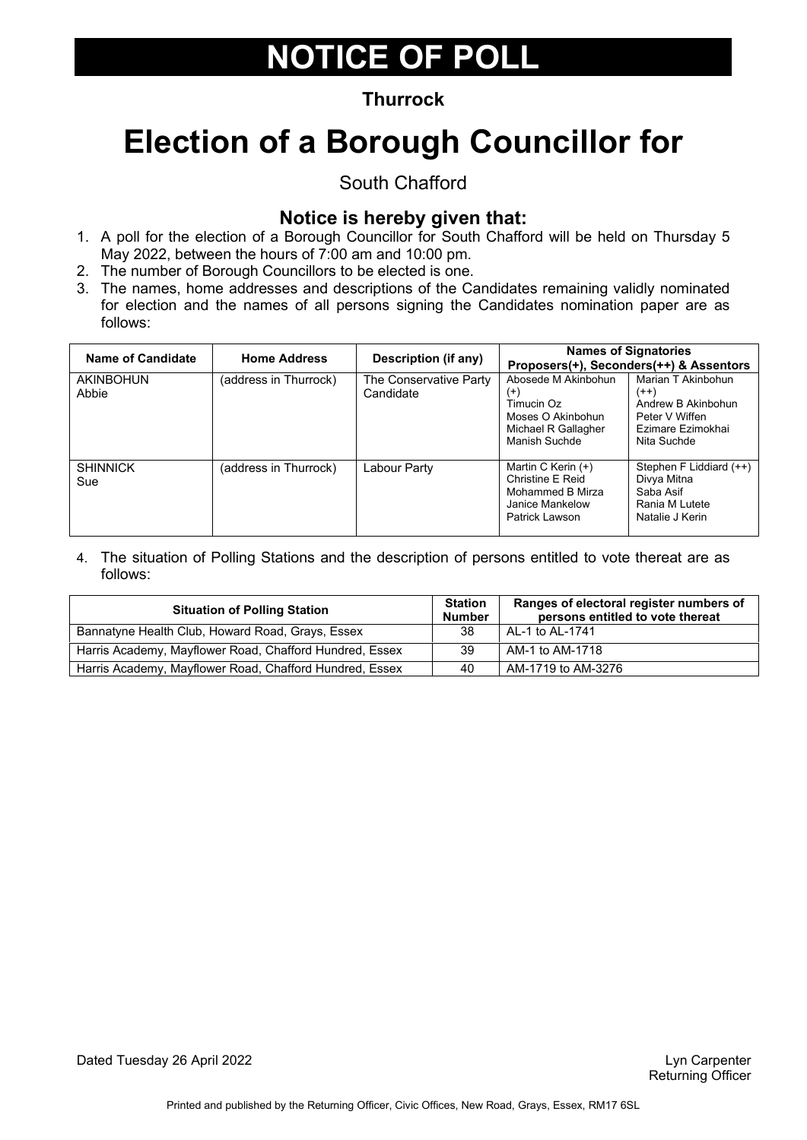### **Thurrock**

# **Election of a Borough Councillor for**

South Chafford

### **Notice is hereby given that:**

- 1. A poll for the election of a Borough Councillor for South Chafford will be held on Thursday 5 May 2022, between the hours of 7:00 am and 10:00 pm.
- 2. The number of Borough Councillors to be elected is one.
- 3. The names, home addresses and descriptions of the Candidates remaining validly nominated for election and the names of all persons signing the Candidates nomination paper are as follows:

| Name of Candidate         | <b>Home Address</b>   | Description (if any)                |                                                                                                            | <b>Names of Signatories</b><br>Proposers(+), Seconders(++) & Assentors                                   |
|---------------------------|-----------------------|-------------------------------------|------------------------------------------------------------------------------------------------------------|----------------------------------------------------------------------------------------------------------|
| <b>AKINBOHUN</b><br>Abbie | (address in Thurrock) | The Conservative Party<br>Candidate | Abosede M Akinbohun<br>$^{(+)}$<br>Timucin Oz<br>Moses O Akinbohun<br>Michael R Gallagher<br>Manish Suchde | Marian T Akinbohun<br>$(++)$<br>Andrew B Akinbohun<br>Peter V Wiffen<br>Ezimare Ezimokhai<br>Nita Suchde |
| <b>SHINNICK</b><br>Sue    | (address in Thurrock) | Labour Party                        | Martin C Kerin (+)<br>Christine E Reid<br>Mohammed B Mirza<br>Janice Mankelow<br>Patrick Lawson            | Stephen F Liddiard (++)<br>Divya Mitna<br>Saba Asif<br>Rania M Lutete<br>Natalie J Kerin                 |

| <b>Situation of Polling Station</b>                     |    | Ranges of electoral register numbers of<br>persons entitled to vote thereat |
|---------------------------------------------------------|----|-----------------------------------------------------------------------------|
| Bannatyne Health Club, Howard Road, Grays, Essex        | 38 | AL-1 to AL-1741                                                             |
| Harris Academy, Mayflower Road, Chafford Hundred, Essex | 39 | AM-1 to AM-1718                                                             |
| Harris Academy, Mayflower Road, Chafford Hundred, Essex | 40 | AM-1719 to AM-3276                                                          |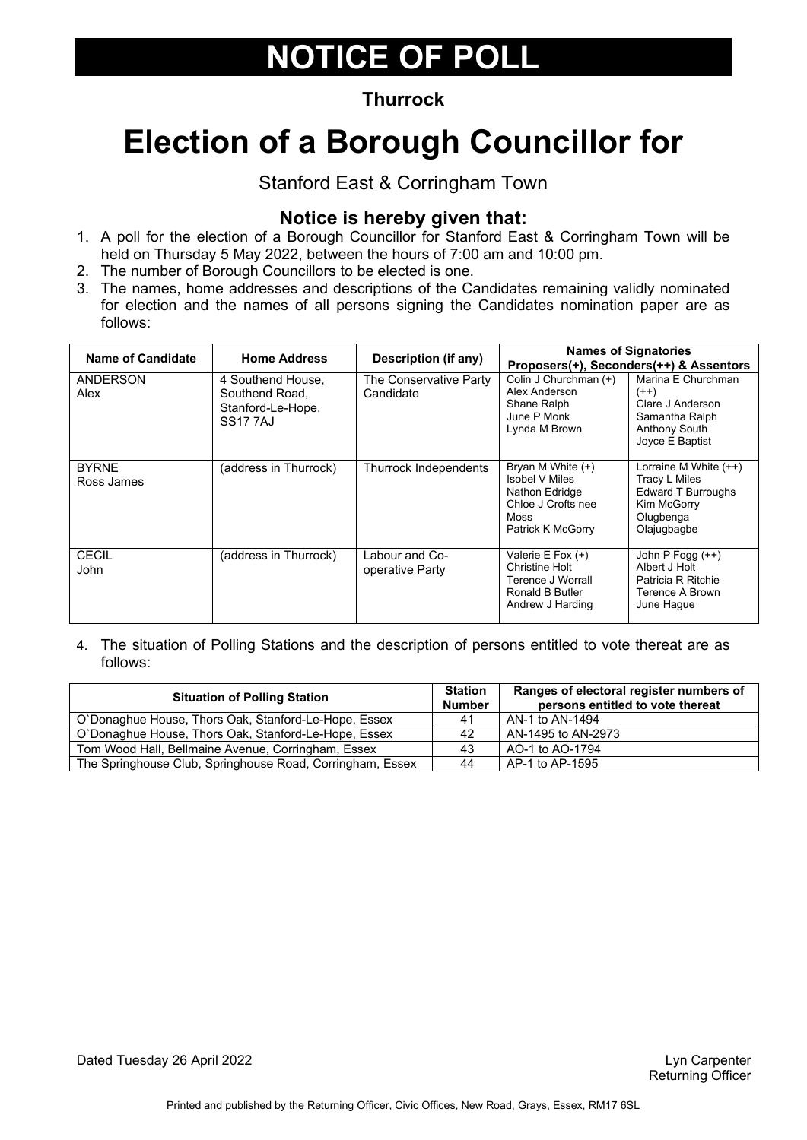### **Thurrock**

# **Election of a Borough Councillor for**

Stanford East & Corringham Town

### **Notice is hereby given that:**

- 1. A poll for the election of a Borough Councillor for Stanford East & Corringham Town will be held on Thursday 5 May 2022, between the hours of 7:00 am and 10:00 pm.
- 2. The number of Borough Councillors to be elected is one.
- 3. The names, home addresses and descriptions of the Candidates remaining validly nominated for election and the names of all persons signing the Candidates nomination paper are as follows:

| <b>Name of Candidate</b>   | <b>Home Address</b>                                                        | Description (if any)                |                                                                                                                 | <b>Names of Signatories</b><br>Proposers(+), Seconders(++) & Assentors                                           |
|----------------------------|----------------------------------------------------------------------------|-------------------------------------|-----------------------------------------------------------------------------------------------------------------|------------------------------------------------------------------------------------------------------------------|
| <b>ANDERSON</b><br>Alex    | 4 Southend House,<br>Southend Road.<br>Stanford-Le-Hope,<br><b>SS177AJ</b> | The Conservative Party<br>Candidate | Colin J Churchman (+)<br>Alex Anderson<br>Shane Ralph<br>June P Monk<br>Lynda M Brown                           | Marina E Churchman<br>$(++)$<br>Clare J Anderson<br>Samantha Ralph<br><b>Anthony South</b><br>Joyce E Baptist    |
| <b>BYRNE</b><br>Ross James | (address in Thurrock)                                                      | Thurrock Independents               | Bryan M White (+)<br><b>Isobel V Miles</b><br>Nathon Edridge<br>Chloe J Crofts nee<br>Moss<br>Patrick K McGorry | Lorraine M White $(++)$<br>Tracy L Miles<br><b>Edward T Burroughs</b><br>Kim McGorry<br>Olugbenga<br>Olajugbagbe |
| CECIL<br>John              | (address in Thurrock).                                                     | Labour and Co-<br>operative Party   | Valerie E Fox (+)<br>Christine Holt<br>Terence J Worrall<br>Ronald B Butler<br>Andrew J Harding                 | John P Fogg (++)<br>Albert J Holt<br>Patricia R Ritchie<br>Terence A Brown<br>June Hague                         |

| <b>Situation of Polling Station</b>                       |                | Ranges of electoral register numbers of<br>persons entitled to vote thereat |
|-----------------------------------------------------------|----------------|-----------------------------------------------------------------------------|
| O'Donaghue House, Thors Oak, Stanford-Le-Hope, Essex      | 4 <sup>1</sup> | AN-1 to AN-1494                                                             |
| O'Donaghue House, Thors Oak, Stanford-Le-Hope, Essex      | 42             | AN-1495 to AN-2973                                                          |
| Tom Wood Hall, Bellmaine Avenue, Corringham, Essex        | 43             | AO-1 to AO-1794                                                             |
| The Springhouse Club, Springhouse Road, Corringham, Essex | 44             | AP-1 to AP-1595                                                             |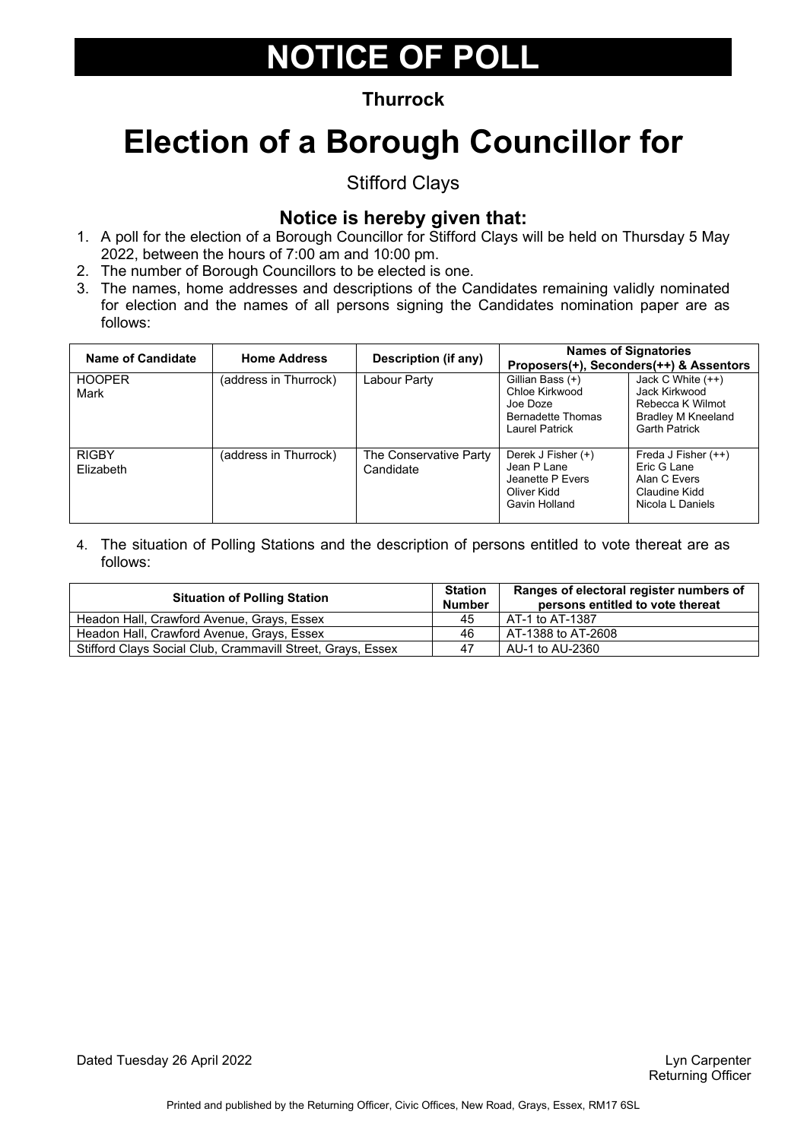### **Thurrock**

# **Election of a Borough Councillor for**

Stifford Clays

### **Notice is hereby given that:**

- 1. A poll for the election of a Borough Councillor for Stifford Clays will be held on Thursday 5 May 2022, between the hours of 7:00 am and 10:00 pm.
- 2. The number of Borough Councillors to be elected is one.
- 3. The names, home addresses and descriptions of the Candidates remaining validly nominated for election and the names of all persons signing the Candidates nomination paper are as follows:

| Name of Candidate         | <b>Home Address</b>   | Description (if any)                |                                                                                              | <b>Names of Signatories</b><br>Proposers(+), Seconders(++) & Assentors                                        |
|---------------------------|-----------------------|-------------------------------------|----------------------------------------------------------------------------------------------|---------------------------------------------------------------------------------------------------------------|
| <b>HOOPER</b><br>Mark     | (address in Thurrock) | Labour Party                        | Gillian Bass (+)<br>Chloe Kirkwood<br>Joe Doze<br><b>Bernadette Thomas</b><br>Laurel Patrick | Jack C White $(++)$<br>Jack Kirkwood<br>Rebecca K Wilmot<br><b>Bradley M Kneeland</b><br><b>Garth Patrick</b> |
| <b>RIGBY</b><br>Flizabeth | (address in Thurrock) | The Conservative Party<br>Candidate | Derek J Fisher (+)<br>Jean P Lane<br>Jeanette P Evers<br>Oliver Kidd<br>Gavin Holland        | Freda J Fisher $(++)$<br>Eric G Lane<br>Alan C Evers<br>Claudine Kidd<br>Nicola L Daniels                     |

| <b>Situation of Polling Station</b>                         | <b>Station</b><br><b>Number</b> | Ranges of electoral register numbers of<br>persons entitled to vote thereat |
|-------------------------------------------------------------|---------------------------------|-----------------------------------------------------------------------------|
| Headon Hall, Crawford Avenue, Grays, Essex                  | 45                              | AT-1 to AT-1387                                                             |
| Headon Hall, Crawford Avenue, Grays, Essex                  | 46                              | AT-1388 to AT-2608                                                          |
| Stifford Clays Social Club, Crammavill Street, Grays, Essex | 47                              | AU-1 to AU-2360                                                             |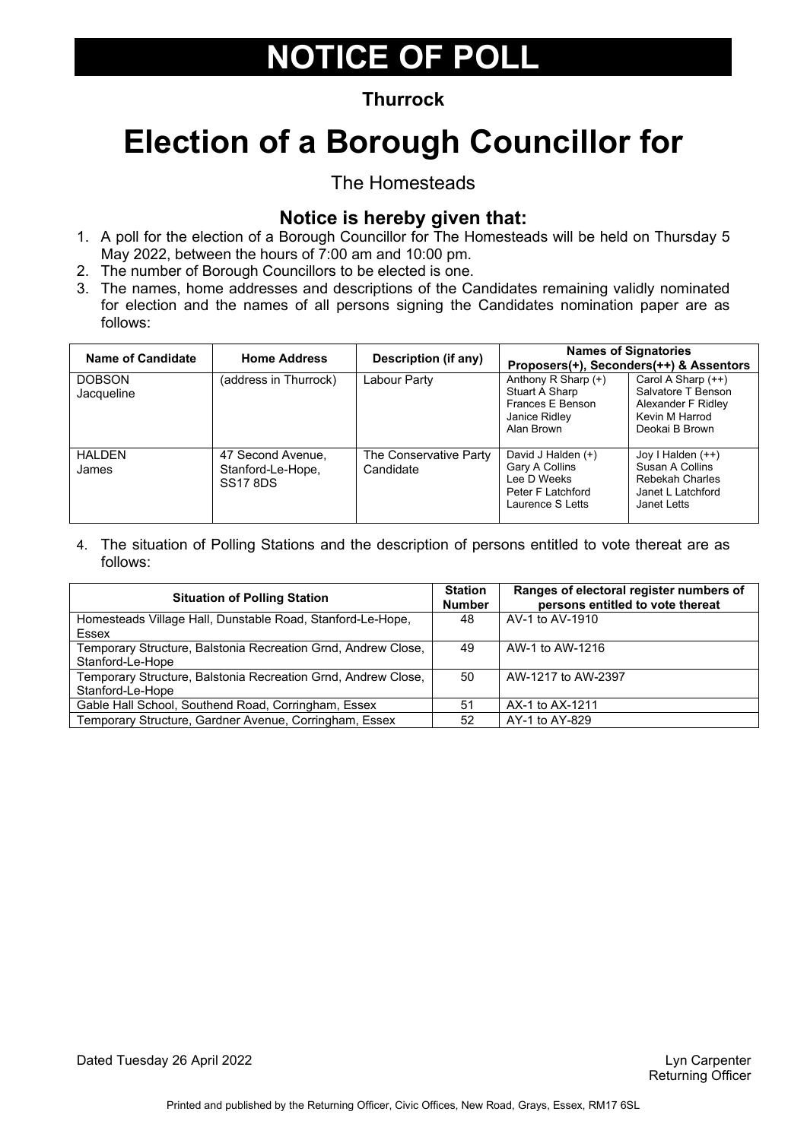### **Thurrock**

# **Election of a Borough Councillor for**

The Homesteads

### **Notice is hereby given that:**

- 1. A poll for the election of a Borough Councillor for The Homesteads will be held on Thursday 5 May 2022, between the hours of 7:00 am and 10:00 pm.
- 2. The number of Borough Councillors to be elected is one.
- 3. The names, home addresses and descriptions of the Candidates remaining validly nominated for election and the names of all persons signing the Candidates nomination paper are as follows:

| Name of Candidate           | <b>Home Address</b>                                       | <b>Description (if any)</b>         |                                                                                              | <b>Names of Signatories</b><br>Proposers(+), Seconders(++) & Assentors                               |
|-----------------------------|-----------------------------------------------------------|-------------------------------------|----------------------------------------------------------------------------------------------|------------------------------------------------------------------------------------------------------|
| <b>DOBSON</b><br>Jacqueline | (address in Thurrock)                                     | Labour Party                        | Anthony R Sharp (+)<br>Stuart A Sharp<br>Frances E Benson<br>Janice Ridley<br>Alan Brown     | Carol A Sharp $(++)$<br>Salvatore T Benson<br>Alexander F Ridley<br>Kevin M Harrod<br>Deokai B Brown |
| <b>HALDEN</b><br>James      | 47 Second Avenue,<br>Stanford-Le-Hope,<br><b>SS17 8DS</b> | The Conservative Party<br>Candidate | David J Halden (+)<br>Gary A Collins<br>Lee D Weeks<br>Peter F Latchford<br>Laurence S Letts | Joy I Halden $(++)$<br>Susan A Collins<br><b>Rebekah Charles</b><br>Janet L Latchford<br>Janet Letts |

| <b>Situation of Polling Station</b>                           |    | Ranges of electoral register numbers of<br>persons entitled to vote thereat |
|---------------------------------------------------------------|----|-----------------------------------------------------------------------------|
| Homesteads Village Hall, Dunstable Road, Stanford-Le-Hope,    |    | AV-1 to AV-1910                                                             |
| Essex                                                         |    |                                                                             |
| Temporary Structure, Balstonia Recreation Grnd, Andrew Close, |    | AW-1 to AW-1216                                                             |
| Stanford-Le-Hope                                              |    |                                                                             |
| Temporary Structure, Balstonia Recreation Grnd, Andrew Close, | 50 | AW-1217 to AW-2397                                                          |
| Stanford-Le-Hope                                              |    |                                                                             |
| Gable Hall School, Southend Road, Corringham, Essex           | 51 | AX-1 to AX-1211                                                             |
| Temporary Structure, Gardner Avenue, Corringham, Essex        | 52 | AY-1 to AY-829                                                              |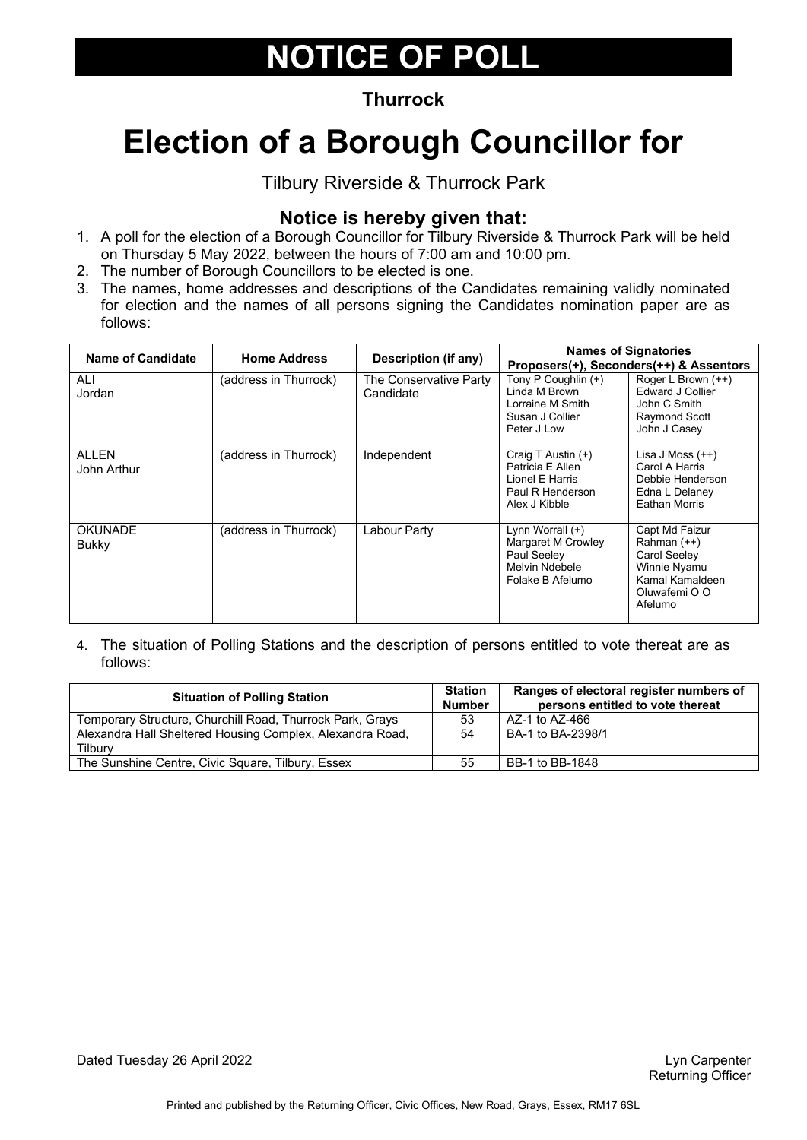### **Thurrock**

# **Election of a Borough Councillor for**

Tilbury Riverside & Thurrock Park

### **Notice is hereby given that:**

- 1. A poll for the election of a Borough Councillor for Tilbury Riverside & Thurrock Park will be held on Thursday 5 May 2022, between the hours of 7:00 am and 10:00 pm.
- 2. The number of Borough Councillors to be elected is one.
- 3. The names, home addresses and descriptions of the Candidates remaining validly nominated for election and the names of all persons signing the Candidates nomination paper are as follows:

| <b>Name of Candidate</b>       | <b>Home Address</b>   | Description (if any)                |                                                                                                | <b>Names of Signatories</b><br>Proposers(+), Seconders(++) & Assentors                                       |
|--------------------------------|-----------------------|-------------------------------------|------------------------------------------------------------------------------------------------|--------------------------------------------------------------------------------------------------------------|
| ALI<br>Jordan                  | (address in Thurrock) | The Conservative Party<br>Candidate | Tony P Coughlin (+)<br>Linda M Brown<br>Lorraine M Smith<br>Susan J Collier<br>Peter J Low     | Roger L Brown (++)<br><b>Edward J Collier</b><br>John C Smith<br>Raymond Scott<br>John J Casey               |
| <b>ALLEN</b><br>John Arthur    | (address in Thurrock) | Independent                         | Craig T Austin (+)<br>Patricia E Allen<br>Lionel E Harris<br>Paul R Henderson<br>Alex J Kibble | Lisa J Moss $(++)$<br>Carol A Harris<br>Debbie Henderson<br>Edna L Delaney<br><b>Eathan Morris</b>           |
| <b>OKUNADE</b><br><b>Bukky</b> | (address in Thurrock) | Labour Party                        | Lynn Worrall $(+)$<br>Margaret M Crowley<br>Paul Seeley<br>Melvin Ndebele<br>Folake B Afelumo  | Capt Md Faizur<br>Rahman (++)<br>Carol Seeley<br>Winnie Nyamu<br>Kamal Kamaldeen<br>Oluwafemi O O<br>Afelumo |

4. The situation of Polling Stations and the description of persons entitled to vote thereat are as follows:

| <b>Situation of Polling Station</b>                       |    | Ranges of electoral register numbers of<br>persons entitled to vote thereat |
|-----------------------------------------------------------|----|-----------------------------------------------------------------------------|
| Temporary Structure, Churchill Road, Thurrock Park, Grays | 53 | AZ-1 to AZ-466                                                              |
| Alexandra Hall Sheltered Housing Complex, Alexandra Road, | 54 | BA-1 to BA-2398/1                                                           |
| Tilburv                                                   |    |                                                                             |
| The Sunshine Centre, Civic Square, Tilbury, Essex         | 55 | BB-1 to BB-1848                                                             |

Dated Tuesday 26 April 2022 **Lyn Carpenter** Construction of the Unit of the Unit of the Unit of the Unit of the Unit of the Unit of the Unit of the Unit of the Unit of the Unit of the Unit of the Unit of the Unit of the Un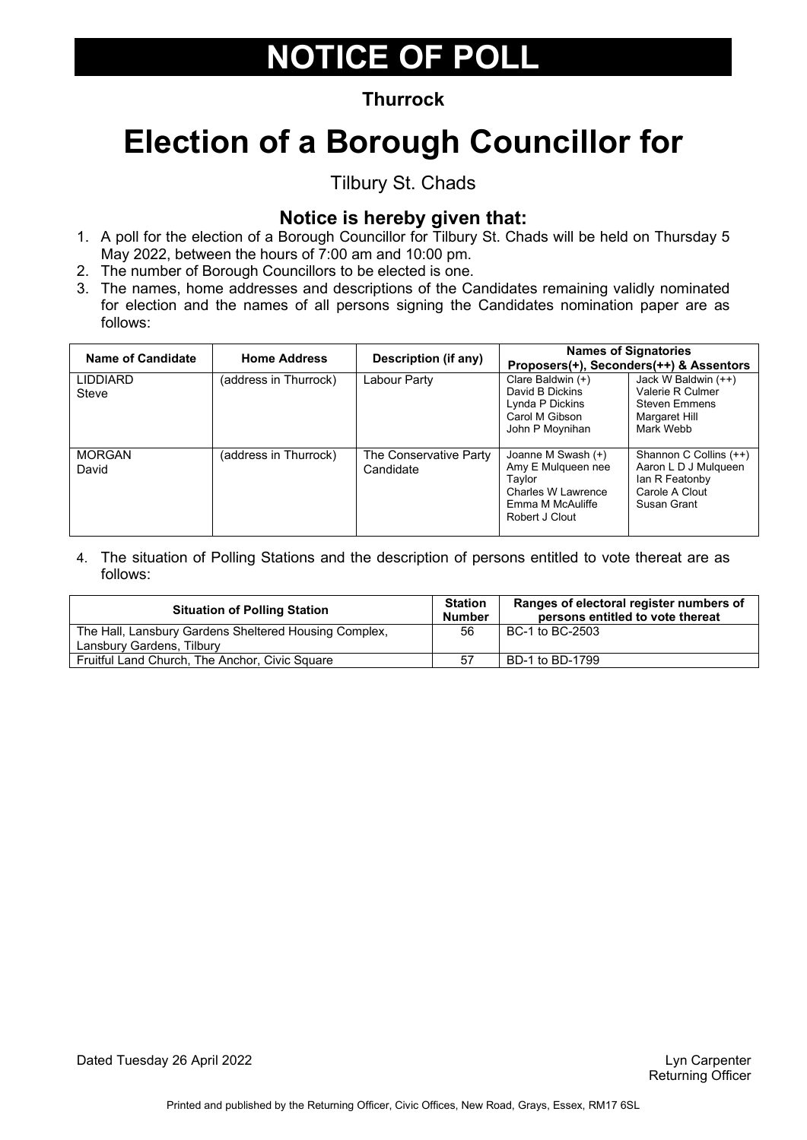### **Thurrock**

# **Election of a Borough Councillor for**

Tilbury St. Chads

### **Notice is hereby given that:**

- 1. A poll for the election of a Borough Councillor for Tilbury St. Chads will be held on Thursday 5 May 2022, between the hours of 7:00 am and 10:00 pm.
- 2. The number of Borough Councillors to be elected is one.
- 3. The names, home addresses and descriptions of the Candidates remaining validly nominated for election and the names of all persons signing the Candidates nomination paper are as follows:

| Name of Candidate        | <b>Home Address</b>   | <b>Description (if any)</b>         |                                                                                                                | <b>Names of Signatories</b><br>Proposers(+), Seconders(++) & Assentors                            |
|--------------------------|-----------------------|-------------------------------------|----------------------------------------------------------------------------------------------------------------|---------------------------------------------------------------------------------------------------|
| <b>LIDDIARD</b><br>Steve | (address in Thurrock) | Labour Party                        | Clare Baldwin $(+)$<br>David B Dickins<br>Lynda P Dickins<br>Carol M Gibson<br>John P Moynihan                 | Jack W Baldwin (++)<br>Valerie R Culmer<br><b>Steven Emmens</b><br>Margaret Hill<br>Mark Webb     |
| <b>MORGAN</b><br>David   | (address in Thurrock) | The Conservative Party<br>Candidate | Joanne M Swash (+)<br>Amy E Mulqueen nee<br>Taylor<br>Charles W Lawrence<br>Emma M McAuliffe<br>Robert J Clout | Shannon C Collins (++)<br>Aaron L D J Mulqueen<br>lan R Featonby<br>Carole A Clout<br>Susan Grant |

| <b>Station</b><br><b>Number</b> | Ranges of electoral register numbers of<br>persons entitled to vote thereat |
|---------------------------------|-----------------------------------------------------------------------------|
| 56                              | BC-1 to BC-2503                                                             |
|                                 |                                                                             |
| 57                              | BD-1 to BD-1799                                                             |
|                                 |                                                                             |